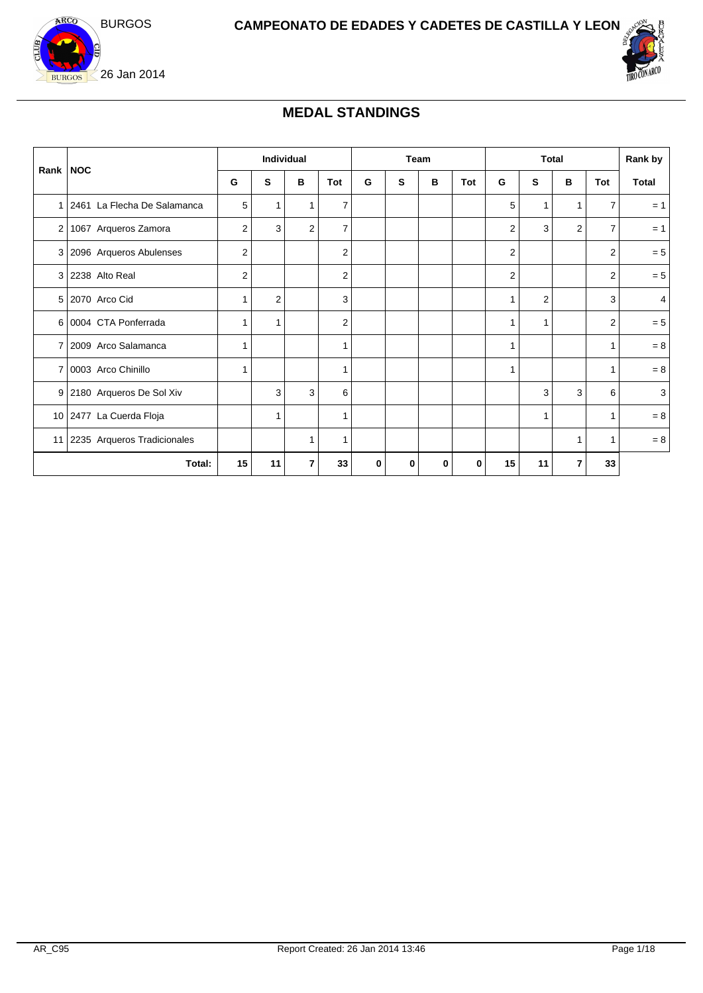



## **MEDAL STANDINGS**

| Rank NOC |                                 |    | Individual     |                |                | Team |   |   | <b>Total</b> |                         |                |   | Rank by        |                |
|----------|---------------------------------|----|----------------|----------------|----------------|------|---|---|--------------|-------------------------|----------------|---|----------------|----------------|
|          |                                 | G  | S              | в              | Tot            | G    | s | в | Tot          | G                       | S              | в | Tot            | Total          |
|          | 1   2461 La Flecha De Salamanca | 5  | $\mathbf{1}$   | $\mathbf{1}$   | $\overline{7}$ |      |   |   |              | 5                       | 1              | 1 | $\overline{7}$ | $= 1$          |
| 2        | 1067 Arqueros Zamora            | 2  | 3              | $\overline{2}$ | $\overline{7}$ |      |   |   |              | 2                       | 3              | 2 | 7              | $= 1$          |
|          | 3 2096 Arqueros Abulenses       | 2  |                |                | $\overline{2}$ |      |   |   |              | 2                       |                |   | $\overline{2}$ | $= 5$          |
|          | 3 2238 Alto Real                | 2  |                |                | $\overline{2}$ |      |   |   |              | $\overline{\mathbf{c}}$ |                |   | 2              | $= 5$          |
|          | 5 2070 Arco Cid                 |    | $\overline{2}$ |                | 3              |      |   |   |              | 1                       | $\overline{2}$ |   | 3              | $\overline{4}$ |
|          | 6 0004 CTA Ponferrada           |    | 1              |                | $\overline{2}$ |      |   |   |              | 1                       | 1              |   | $\overline{2}$ | $= 5$          |
|          | 7   2009 Arco Salamanca         | 1  |                |                | 1              |      |   |   |              | 1                       |                |   | 1              | $= 8$          |
|          | 7 0003 Arco Chinillo            |    |                |                | 1              |      |   |   |              | 1                       |                |   | $\mathbf{1}$   | $= 8$          |
|          | 9 2180 Arqueros De Sol Xiv      |    | 3              | 3              | 6              |      |   |   |              |                         | 3              | 3 | 6              | 3              |
|          | 10 2477 La Cuerda Floja         |    | 1              |                | 1              |      |   |   |              |                         | 1              |   | $\mathbf{1}$   | $= 8$          |
|          | 11 2235 Arqueros Tradicionales  |    |                | -1             | 1              |      |   |   |              |                         |                | 1 | $\mathbf{1}$   | $= 8$          |
|          | Total:                          | 15 | 11             | 7              | 33             | 0    | 0 | 0 | 0            | 15                      | 11             | 7 | 33             |                |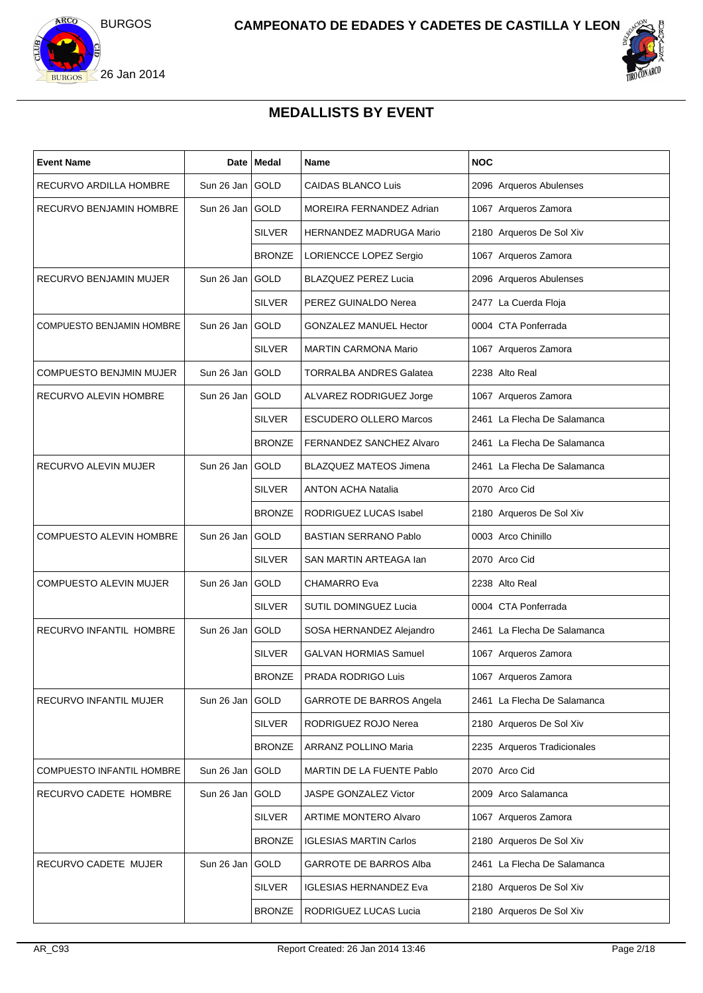



## **MEDALLISTS BY EVENT**

| <b>Event Name</b>              |                   | Date   Medal  | <b>Name</b>                    | <b>NOC</b>                  |
|--------------------------------|-------------------|---------------|--------------------------------|-----------------------------|
| RECURVO ARDILLA HOMBRE         | Sun 26 Jan GOLD   |               | <b>CAIDAS BLANCO Luis</b>      | 2096 Arqueros Abulenses     |
| RECURVO BENJAMIN HOMBRE        | Sun 26 Jan GOLD   |               | MOREIRA FERNANDEZ Adrian       | 1067 Arqueros Zamora        |
|                                |                   | <b>SILVER</b> | HERNANDEZ MADRUGA Mario        | 2180 Arqueros De Sol Xiv    |
|                                |                   | <b>BRONZE</b> | LORIENCCE LOPEZ Sergio         | 1067 Arqueros Zamora        |
| RECURVO BENJAMIN MUJER         | Sun 26 Jan GOLD   |               | <b>BLAZQUEZ PEREZ Lucia</b>    | 2096 Arqueros Abulenses     |
|                                |                   | <b>SILVER</b> | PEREZ GUINALDO Nerea           | 2477 La Cuerda Floja        |
| COMPUESTO BENJAMIN HOMBRE      | Sun 26 Jan GOLD   |               | <b>GONZALEZ MANUEL Hector</b>  | 0004 CTA Ponferrada         |
|                                |                   | <b>SILVER</b> | <b>MARTIN CARMONA Mario</b>    | 1067 Arqueros Zamora        |
| <b>COMPUESTO BENJMIN MUJER</b> | Sun 26 Jan GOLD   |               | <b>TORRALBA ANDRES Galatea</b> | 2238 Alto Real              |
| RECURVO ALEVIN HOMBRE          | Sun 26 Jan GOLD   |               | ALVAREZ RODRIGUEZ Jorge        | 1067 Arqueros Zamora        |
|                                |                   | <b>SILVER</b> | <b>ESCUDERO OLLERO Marcos</b>  | 2461 La Flecha De Salamanca |
|                                |                   | <b>BRONZE</b> | FERNANDEZ SANCHEZ Alvaro       | 2461 La Flecha De Salamanca |
| RECURVO ALEVIN MUJER           | Sun 26 Jan GOLD   |               | <b>BLAZQUEZ MATEOS Jimena</b>  | 2461 La Flecha De Salamanca |
|                                |                   | <b>SILVER</b> | <b>ANTON ACHA Natalia</b>      | 2070 Arco Cid               |
|                                |                   | <b>BRONZE</b> | RODRIGUEZ LUCAS Isabel         | 2180 Arqueros De Sol Xiv    |
| <b>COMPUESTO ALEVIN HOMBRE</b> | Sun 26 Jan GOLD   |               | <b>BASTIAN SERRANO Pablo</b>   | 0003 Arco Chinillo          |
|                                |                   | <b>SILVER</b> | SAN MARTIN ARTEAGA Ian         | 2070 Arco Cid               |
| <b>COMPUESTO ALEVIN MUJER</b>  | Sun 26 Jan   GOLD |               | <b>CHAMARRO Eva</b>            | 2238 Alto Real              |
|                                |                   | <b>SILVER</b> | <b>SUTIL DOMINGUEZ Lucia</b>   | 0004 CTA Ponferrada         |
| RECURVO INFANTIL HOMBRE        | Sun 26 Jan GOLD   |               | SOSA HERNANDEZ Alejandro       | 2461 La Flecha De Salamanca |
|                                |                   | <b>SILVER</b> | <b>GALVAN HORMIAS Samuel</b>   | 1067 Arqueros Zamora        |
|                                |                   | <b>BRONZE</b> | PRADA RODRIGO Luis             | 1067 Arqueros Zamora        |
| RECURVO INFANTIL MUJER         | Sun 26 Jan GOLD   |               | GARROTE DE BARROS Angela       | 2461 La Flecha De Salamanca |
|                                |                   | <b>SILVER</b> | RODRIGUEZ ROJO Nerea           | 2180 Arqueros De Sol Xiv    |
|                                |                   | <b>BRONZE</b> | ARRANZ POLLINO Maria           | 2235 Arqueros Tradicionales |
| COMPUESTO INFANTIL HOMBRE      | Sun 26 Jan GOLD   |               | MARTIN DE LA FUENTE Pablo      | 2070 Arco Cid               |
| RECURVO CADETE HOMBRE          | Sun 26 Jan GOLD   |               | JASPE GONZALEZ Victor          | 2009 Arco Salamanca         |
|                                |                   | <b>SILVER</b> | ARTIME MONTERO Alvaro          | 1067 Arqueros Zamora        |
|                                |                   | <b>BRONZE</b> | <b>IGLESIAS MARTIN Carlos</b>  | 2180 Arqueros De Sol Xiv    |
| RECURVO CADETE MUJER           | Sun 26 Jan GOLD   |               | <b>GARROTE DE BARROS Alba</b>  | 2461 La Flecha De Salamanca |
|                                |                   | <b>SILVER</b> | <b>IGLESIAS HERNANDEZ Eva</b>  | 2180 Arqueros De Sol Xiv    |
|                                |                   | <b>BRONZE</b> | RODRIGUEZ LUCAS Lucia          | 2180 Arqueros De Sol Xiv    |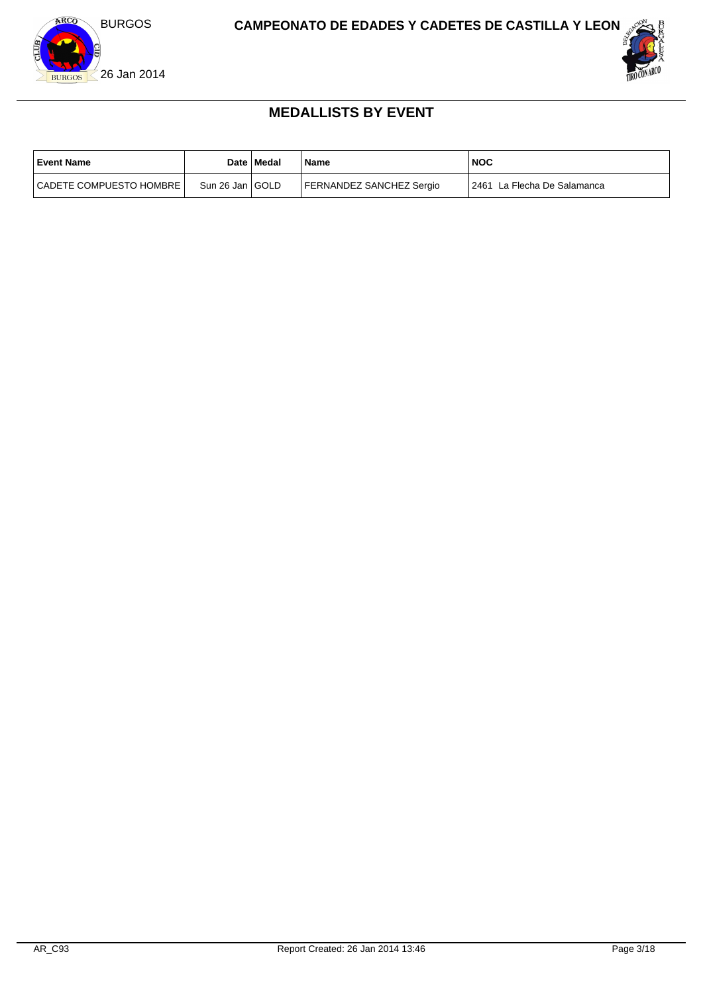



### **MEDALLISTS BY EVENT**

| <b>Event Name</b>           |                   | Date   Medal | Name                     | NOC                          |
|-----------------------------|-------------------|--------------|--------------------------|------------------------------|
| l CADETE COMPUESTO HOMBRE I | Sun 26 Jan   GOLD |              | FERNANDEZ SANCHEZ Sergio | 12461 La Flecha De Salamanca |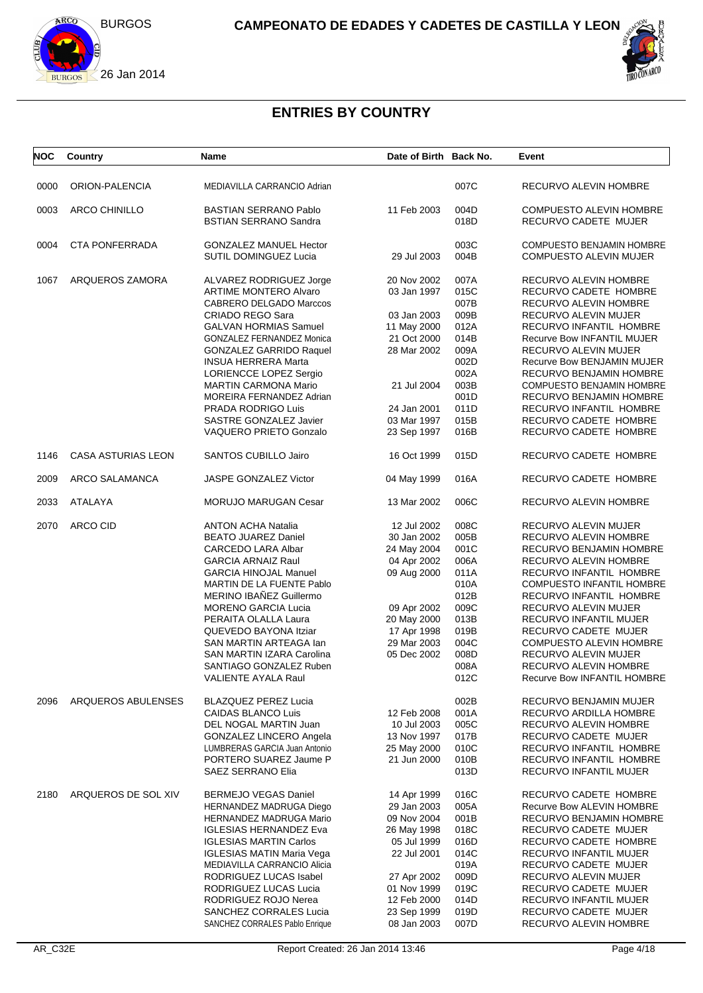



# **ENTRIES BY COUNTRY**

| <b>NOC</b> | Country                   | Name                                                         | Date of Birth Back No.     |              | Event                                                             |
|------------|---------------------------|--------------------------------------------------------------|----------------------------|--------------|-------------------------------------------------------------------|
| 0000       | ORION-PALENCIA            | MEDIAVILLA CARRANCIO Adrian                                  |                            | 007C         | RECURVO ALEVIN HOMBRE                                             |
| 0003       | <b>ARCO CHINILLO</b>      | <b>BASTIAN SERRANO Pablo</b><br><b>BSTIAN SERRANO Sandra</b> | 11 Feb 2003                | 004D<br>018D | <b>COMPUESTO ALEVIN HOMBRE</b><br>RECURVO CADETE MUJER            |
|            |                           |                                                              |                            |              |                                                                   |
| 0004       | <b>CTA PONFERRADA</b>     | <b>GONZALEZ MANUEL Hector</b><br>SUTIL DOMINGUEZ Lucia       | 29 Jul 2003                | 003C<br>004B | <b>COMPUESTO BENJAMIN HOMBRE</b><br><b>COMPUESTO ALEVIN MUJER</b> |
| 1067       | ARQUEROS ZAMORA           | ALVAREZ RODRIGUEZ Jorge                                      | 20 Nov 2002                | 007A         | RECURVO ALEVIN HOMBRE                                             |
|            |                           | <b>ARTIME MONTERO Alvaro</b>                                 | 03 Jan 1997                | 015C         | RECURVO CADETE HOMBRE                                             |
|            |                           | <b>CABRERO DELGADO Marccos</b>                               |                            | 007B         | RECURVO ALEVIN HOMBRE                                             |
|            |                           | <b>CRIADO REGO Sara</b>                                      | 03 Jan 2003                | 009B         | RECURVO ALEVIN MUJER                                              |
|            |                           | <b>GALVAN HORMIAS Samuel</b>                                 | 11 May 2000                | 012A         | RECURVO INFANTIL HOMBRE                                           |
|            |                           | GONZALEZ FERNANDEZ Monica                                    | 21 Oct 2000                | 014B         | Recurve Bow INFANTIL MUJER                                        |
|            |                           | <b>GONZALEZ GARRIDO Raquel</b>                               | 28 Mar 2002                | 009A         | RECURVO ALEVIN MUJER                                              |
|            |                           | <b>INSUA HERRERA Marta</b>                                   |                            | 002D         | Recurve Bow BENJAMIN MUJER                                        |
|            |                           | LORIENCCE LOPEZ Sergio                                       |                            | 002A         | RECURVO BENJAMIN HOMBRE                                           |
|            |                           | <b>MARTIN CARMONA Mario</b>                                  | 21 Jul 2004                | 003B         | <b>COMPUESTO BENJAMIN HOMBRE</b>                                  |
|            |                           | MOREIRA FERNANDEZ Adrian                                     |                            | 001D         | RECURVO BENJAMIN HOMBRE                                           |
|            |                           | PRADA RODRIGO Luis                                           | 24 Jan 2001                | 011D         | RECURVO INFANTIL HOMBRE                                           |
|            |                           | SASTRE GONZALEZ Javier                                       | 03 Mar 1997                | 015B         | RECURVO CADETE HOMBRE                                             |
|            |                           | <b>VAQUERO PRIETO Gonzalo</b>                                | 23 Sep 1997                | 016B         | RECURVO CADETE HOMBRE                                             |
| 1146       | <b>CASA ASTURIAS LEON</b> | <b>SANTOS CUBILLO Jairo</b>                                  | 16 Oct 1999                | 015D         | RECURVO CADETE HOMBRE                                             |
| 2009       | ARCO SALAMANCA            | JASPE GONZALEZ Victor                                        | 04 May 1999                | 016A         | RECURVO CADETE HOMBRE                                             |
| 2033       | ATALAYA                   | MORUJO MARUGAN Cesar                                         | 13 Mar 2002                | 006C         | RECURVO ALEVIN HOMBRE                                             |
| 2070       | ARCO CID                  | <b>ANTON ACHA Natalia</b>                                    | 12 Jul 2002                | 008C         | RECURVO ALEVIN MUJER                                              |
|            |                           | <b>BEATO JUAREZ Daniel</b>                                   | 30 Jan 2002                | 005B         | RECURVO ALEVIN HOMBRE                                             |
|            |                           | CARCEDO LARA Albar                                           | 24 May 2004                | 001C         | RECURVO BENJAMIN HOMBRE                                           |
|            |                           | <b>GARCIA ARNAIZ Raul</b>                                    | 04 Apr 2002                | 006A         | RECURVO ALEVIN HOMBRE                                             |
|            |                           | <b>GARCIA HINOJAL Manuel</b>                                 | 09 Aug 2000                | 011A         | RECURVO INFANTIL HOMBRE                                           |
|            |                           | MARTIN DE LA FUENTE Pablo                                    |                            | 010A         | COMPUESTO INFANTIL HOMBRE                                         |
|            |                           | MERINO IBAÑEZ Guillermo                                      |                            | 012B         | RECURVO INFANTIL HOMBRE                                           |
|            |                           | <b>MORENO GARCIA Lucia</b>                                   | 09 Apr 2002                | 009C         | RECURVO ALEVIN MUJER                                              |
|            |                           | PERAITA OLALLA Laura                                         | 20 May 2000                | 013B         | RECURVO INFANTIL MUJER                                            |
|            |                           | QUEVEDO BAYONA Itziar                                        | 17 Apr 1998                | 019B         | RECURVO CADETE MUJER                                              |
|            |                           | SAN MARTIN ARTEAGA Ian                                       | 29 Mar 2003                | 004C         | <b>COMPUESTO ALEVIN HOMBRE</b>                                    |
|            |                           | SAN MARTIN IZARA Carolina                                    | 05 Dec 2002                | 008D         | RECURVO ALEVIN MUJER                                              |
|            |                           | SANTIAGO GONZALEZ Ruben                                      |                            | 008A         | RECURVO ALEVIN HOMBRE                                             |
|            |                           | VALIENTE AYALA Raul                                          |                            | 012C         | Recurve Bow INFANTIL HOMBRE                                       |
| 2096       | ARQUEROS ABULENSES        | <b>BLAZQUEZ PEREZ Lucia</b>                                  |                            | 002B         | RECURVO BENJAMIN MUJER                                            |
|            |                           | CAIDAS BLANCO Luis                                           | 12 Feb 2008                | 001A         | RECURVO ARDILLA HOMBRE                                            |
|            |                           | DEL NOGAL MARTIN Juan                                        | 10 Jul 2003                | 005C         | RECURVO ALEVIN HOMBRE                                             |
|            |                           | GONZALEZ LINCERO Angela                                      | 13 Nov 1997                | 017B         | RECURVO CADETE MUJER                                              |
|            |                           | LUMBRERAS GARCIA Juan Antonio                                | 25 May 2000                | 010C         | RECURVO INFANTIL HOMBRE                                           |
|            |                           | PORTERO SUAREZ Jaume P                                       | 21 Jun 2000                | 010B         | RECURVO INFANTIL HOMBRE                                           |
|            |                           | SAEZ SERRANO Elia                                            |                            | 013D         | RECURVO INFANTIL MUJER                                            |
|            |                           |                                                              |                            |              |                                                                   |
| 2180       | ARQUEROS DE SOL XIV       | <b>BERMEJO VEGAS Daniel</b>                                  | 14 Apr 1999                | 016C         | RECURVO CADETE HOMBRE                                             |
|            |                           | HERNANDEZ MADRUGA Diego                                      | 29 Jan 2003                | 005A         | Recurve Bow ALEVIN HOMBRE                                         |
|            |                           | HERNANDEZ MADRUGA Mario                                      | 09 Nov 2004                | 001B         | RECURVO BENJAMIN HOMBRE                                           |
|            |                           | <b>IGLESIAS HERNANDEZ Eva</b>                                | 26 May 1998                | 018C         | RECURVO CADETE MUJER                                              |
|            |                           | <b>IGLESIAS MARTIN Carlos</b>                                | 05 Jul 1999                | 016D         | RECURVO CADETE HOMBRE                                             |
|            |                           | IGLESIAS MATIN Maria Vega                                    | 22 Jul 2001                | 014C<br>019A | RECURVO INFANTIL MUJER                                            |
|            |                           | MEDIAVILLA CARRANCIO Alicia                                  |                            | 009D         | RECURVO CADETE MUJER                                              |
|            |                           | RODRIGUEZ LUCAS Isabel                                       | 27 Apr 2002                | 019C         | RECURVO ALEVIN MUJER<br>RECURVO CADETE MUJER                      |
|            |                           | RODRIGUEZ LUCAS Lucia<br>RODRIGUEZ ROJO Nerea                | 01 Nov 1999<br>12 Feb 2000 | 014D         | RECURVO INFANTIL MUJER                                            |
|            |                           | SANCHEZ CORRALES Lucia                                       | 23 Sep 1999                | 019D         | RECURVO CADETE MUJER                                              |
|            |                           | SANCHEZ CORRALES Pablo Enrique                               | 08 Jan 2003                | 007D         | RECURVO ALEVIN HOMBRE                                             |
|            |                           |                                                              |                            |              |                                                                   |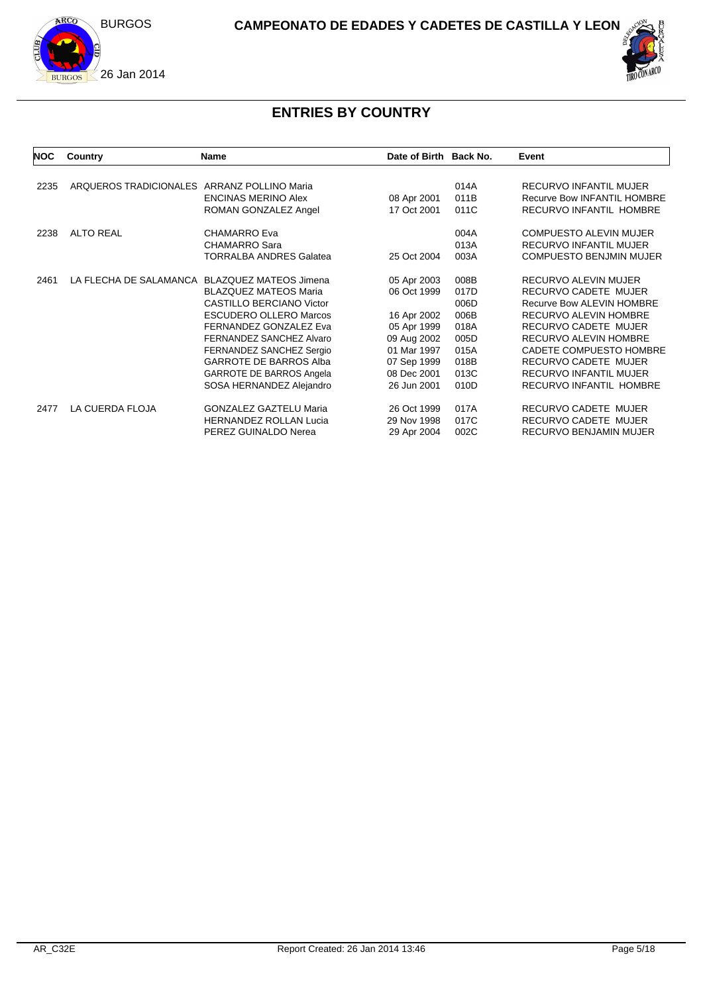



# **ENTRIES BY COUNTRY**

| <b>NOC</b> | Country                                     | <b>Name</b>                                   | Date of Birth Back No. |      | Event                              |
|------------|---------------------------------------------|-----------------------------------------------|------------------------|------|------------------------------------|
|            |                                             |                                               |                        |      |                                    |
| 2235       | ARQUEROS TRADICIONALES ARRANZ POLLINO Maria |                                               |                        | 014A | RECURVO INFANTIL MUJER             |
|            |                                             | <b>ENCINAS MERINO Alex</b>                    | 08 Apr 2001            | 011B | <b>Recurve Bow INFANTIL HOMBRE</b> |
|            |                                             | ROMAN GONZALEZ Angel                          | 17 Oct 2001            | 011C | RECURVO INFANTIL HOMBRE            |
| 2238       | <b>ALTO REAL</b>                            | <b>CHAMARRO Eva</b>                           |                        | 004A | <b>COMPUESTO ALEVIN MUJER</b>      |
|            |                                             | <b>CHAMARRO Sara</b>                          |                        | 013A | <b>RECURVO INFANTIL MUJER</b>      |
|            |                                             | <b>TORRALBA ANDRES Galatea</b>                | 25 Oct 2004            | 003A | <b>COMPUESTO BENJMIN MUJER</b>     |
| 2461       |                                             | LA FLECHA DE SALAMANCA BLAZQUEZ MATEOS Jimena | 05 Apr 2003            | 008B | RECURVO ALEVIN MUJER               |
|            |                                             | <b>BLAZQUEZ MATEOS Maria</b>                  | 06 Oct 1999            | 017D | <b>RECURVO CADETE MUJER</b>        |
|            |                                             | <b>CASTILLO BERCIANO Victor</b>               |                        | 006D | Recurve Bow ALEVIN HOMBRE          |
|            |                                             | <b>ESCUDERO OLLERO Marcos</b>                 | 16 Apr 2002            | 006B | <b>RECURVO ALEVIN HOMBRE</b>       |
|            |                                             | FERNANDEZ GONZALEZ Eva                        | 05 Apr 1999            | 018A | <b>RECURVO CADETE MUJER</b>        |
|            |                                             | FERNANDEZ SANCHEZ Alvaro                      | 09 Aug 2002            | 005D | RECURVO ALEVIN HOMBRE              |
|            |                                             | FERNANDEZ SANCHEZ Sergio                      | 01 Mar 1997            | 015A | CADETE COMPUESTO HOMBRE            |
|            |                                             | <b>GARROTE DE BARROS Alba</b>                 | 07 Sep 1999            | 018B | RECURVO CADETE MUJER               |
|            |                                             | <b>GARROTE DE BARROS Angela</b>               | 08 Dec 2001            | 013C | <b>RECURVO INFANTIL MUJER</b>      |
|            |                                             | SOSA HERNANDEZ Alejandro                      | 26 Jun 2001            | 010D | RECURVO INFANTIL HOMBRE            |
| 2477       | LA CUERDA FLOJA                             | <b>GONZALEZ GAZTELU Maria</b>                 | 26 Oct 1999            | 017A | RECURVO CADETE MUJER               |
|            |                                             | <b>HERNANDEZ ROLLAN Lucia</b>                 | 29 Nov 1998            | 017C | RECURVO CADETE MUJER               |
|            |                                             | PEREZ GUINALDO Nerea                          | 29 Apr 2004            | 002C | RECURVO BENJAMIN MUJER             |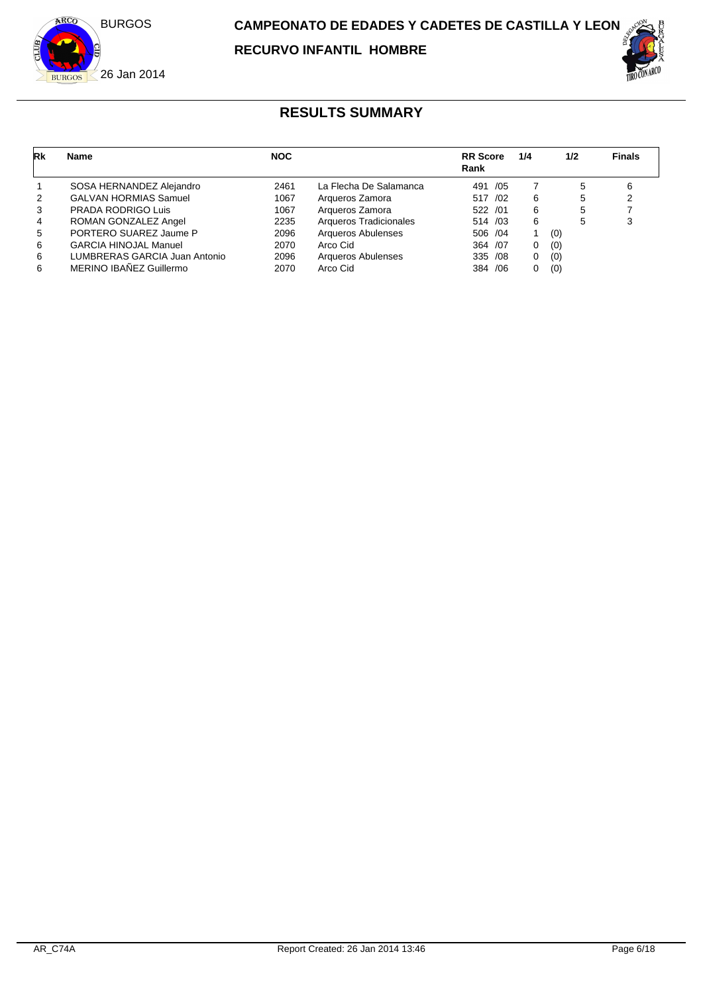

| Rk             | <b>Name</b>                   | <b>NOC</b> |                        | <b>RR</b> Score<br>Rank | 1/4 | 1/2 | <b>Finals</b> |
|----------------|-------------------------------|------------|------------------------|-------------------------|-----|-----|---------------|
|                | SOSA HERNANDEZ Alejandro      | 2461       | La Flecha De Salamanca | 491<br>/05              |     | 5   | 6             |
| 2              | <b>GALVAN HORMIAS Samuel</b>  | 1067       | Arqueros Zamora        | 517 /02                 | 6   | 5   |               |
| 3              | PRADA RODRIGO Luis            | 1067       | Arqueros Zamora        | 522 /01                 | 6   | 5   |               |
| $\overline{4}$ | ROMAN GONZALEZ Angel          | 2235       | Arqueros Tradicionales | 514 /03                 | 6   | 5   |               |
| 5              | PORTERO SUAREZ Jaume P        | 2096       | Arqueros Abulenses     | 506 /04                 |     | (0) |               |
| 6              | <b>GARCIA HINOJAL Manuel</b>  | 2070       | Arco Cid               | 364 / 07                | 0   | (0) |               |
| 6              | LUMBRERAS GARCIA Juan Antonio | 2096       | Arqueros Abulenses     | 335 /08                 | 0   | (0) |               |
| 6              | MERINO IBAÑEZ Guillermo       | 2070       | Arco Cid               | 384 / 06                | 0   | (0) |               |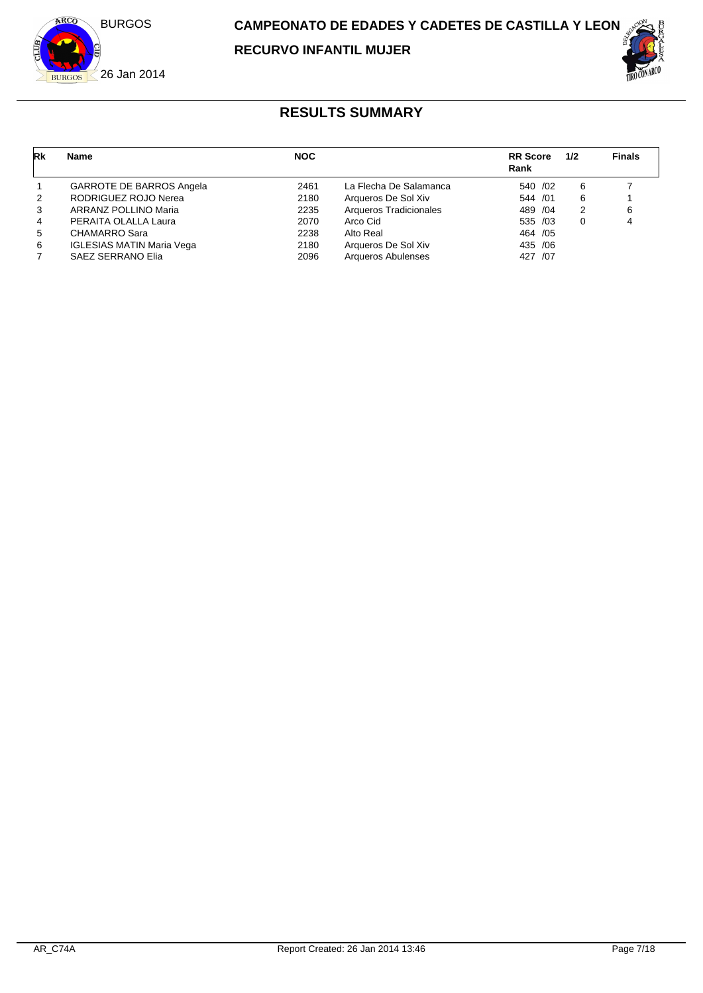

**RECURVO INFANTIL MUJER**



| Rk             | <b>Name</b>                      | <b>NOC</b> |                           | <b>RR</b> Score<br>Rank | 1/2 | <b>Finals</b> |
|----------------|----------------------------------|------------|---------------------------|-------------------------|-----|---------------|
| $\mathbf{1}$   | <b>GARROTE DE BARROS Angela</b>  | 2461       | La Flecha De Salamanca    | 540 /02                 | 6   |               |
| 2              | RODRIGUEZ ROJO Nerea             | 2180       | Arqueros De Sol Xiv       | 544 / 01                | 6   |               |
| 3              | ARRANZ POLLINO Maria             | 2235       | Arqueros Tradicionales    | 489 / 04                | 2   | 6             |
| $\overline{4}$ | PERAITA OLALLA Laura             | 2070       | Arco Cid                  | 535 /03                 | 0   |               |
| 5              | CHAMARRO Sara                    | 2238       | Alto Real                 | 464 / 05                |     |               |
| 6              | <b>IGLESIAS MATIN Maria Vega</b> | 2180       | Arqueros De Sol Xiv       | 435 /06                 |     |               |
|                | <b>SAEZ SERRANO Elia</b>         | 2096       | <b>Arqueros Abulenses</b> | /07<br>427              |     |               |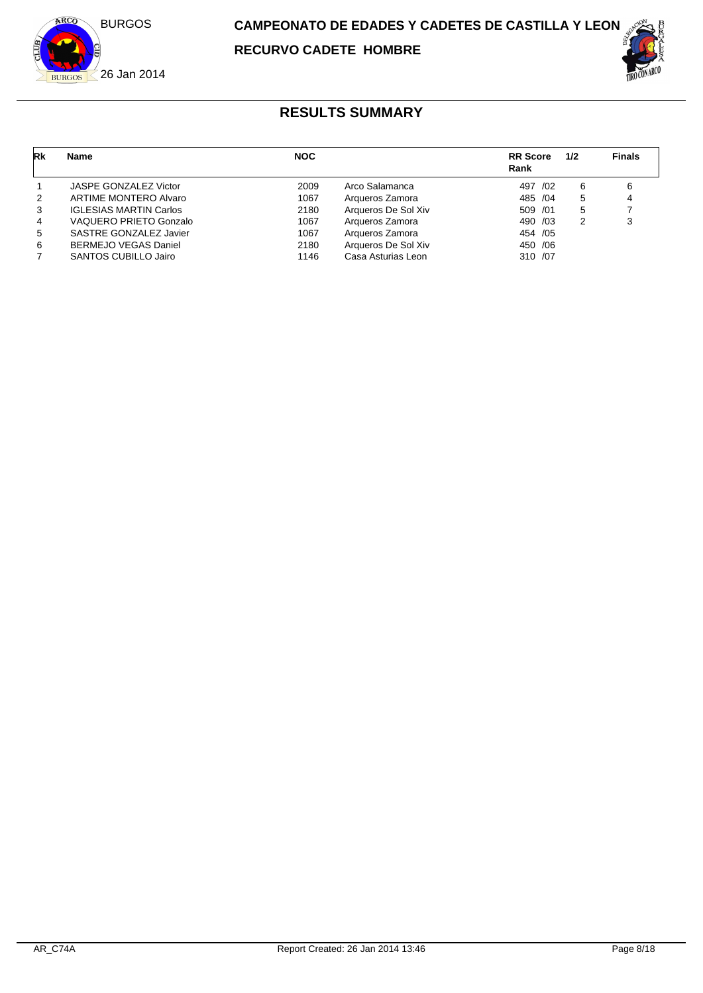

| Rk | <b>Name</b>                   | <b>NOC</b> |                     | <b>RR</b> Score<br>Rank | 1/2 | <b>Finals</b> |
|----|-------------------------------|------------|---------------------|-------------------------|-----|---------------|
|    | JASPE GONZALEZ Victor         | 2009       | Arco Salamanca      | 497 /02                 | 6   |               |
| 2  | ARTIME MONTERO Alvaro         | 1067       | Arqueros Zamora     | 485 /04                 | 5   |               |
| 3  | <b>IGLESIAS MARTIN Carlos</b> | 2180       | Arqueros De Sol Xiv | 509 /01                 | 5   |               |
| 4  | VAQUERO PRIETO Gonzalo        | 1067       | Arqueros Zamora     | 490 /03                 | 2   |               |
| 5  | SASTRE GONZALEZ Javier        | 1067       | Arqueros Zamora     | 454 / 05                |     |               |
| 6  | <b>BERMEJO VEGAS Daniel</b>   | 2180       | Arqueros De Sol Xiv | 450 / 06                |     |               |
|    | <b>SANTOS CUBILLO Jairo</b>   | 1146       | Casa Asturias Leon  | 310 /07                 |     |               |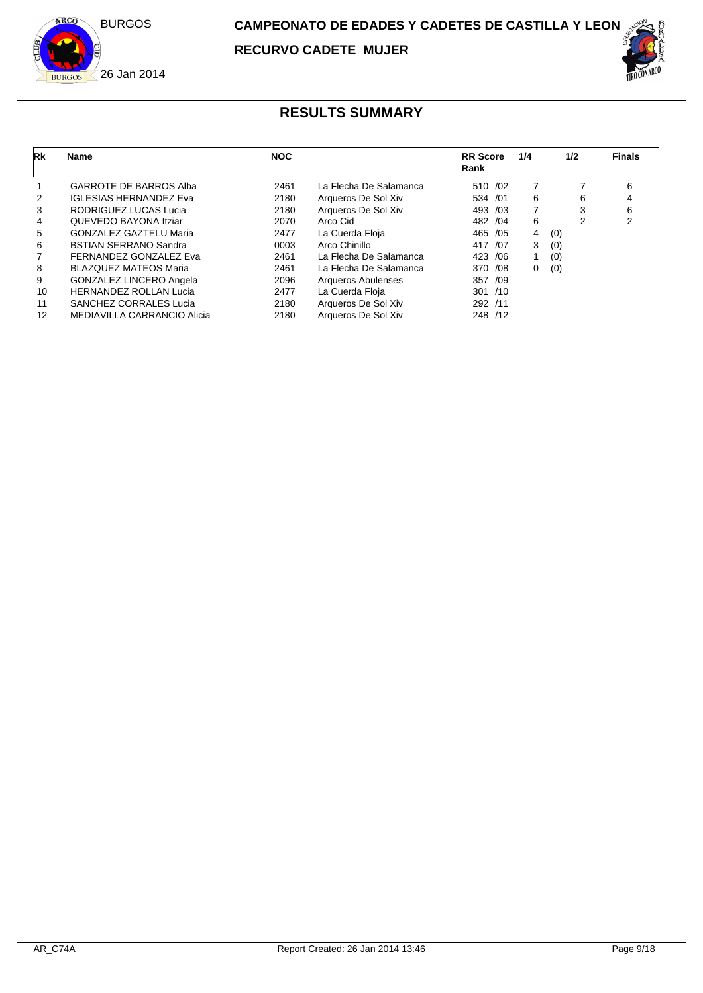

| Rk | Name                           | <b>NOC</b> |                        | <b>RR</b> Score<br>Rank | 1/4 | 1/2 | <b>Finals</b> |
|----|--------------------------------|------------|------------------------|-------------------------|-----|-----|---------------|
|    | <b>GARROTE DE BARROS Alba</b>  | 2461       | La Flecha De Salamanca | 510 /02                 | 7   |     | 6             |
| 2  | <b>IGLESIAS HERNANDEZ Eva</b>  | 2180       | Arqueros De Sol Xiv    | 534 /01                 | 6   | 6   | 4             |
| 3  | RODRIGUEZ LUCAS Lucia          | 2180       | Arqueros De Sol Xiv    | 493 /03                 | 7   | 3   | 6             |
| 4  | QUEVEDO BAYONA Itziar          | 2070       | Arco Cid               | 482 / 04                | 6   | 2   | 2             |
| 5  | <b>GONZALEZ GAZTELU Maria</b>  | 2477       | La Cuerda Floja        | 465 / 05                | 4   | (0) |               |
| 6  | <b>BSTIAN SERRANO Sandra</b>   | 0003       | Arco Chinillo          | 417 /07                 | 3   | (0) |               |
|    | FERNANDEZ GONZALEZ Eva         | 2461       | La Flecha De Salamanca | 423 / 06                |     | (0) |               |
| 8  | <b>BLAZQUEZ MATEOS Maria</b>   | 2461       | La Flecha De Salamanca | 370 / 08                | 0   | (0) |               |
| 9  | <b>GONZALEZ LINCERO Angela</b> | 2096       | Arqueros Abulenses     | 357 /09                 |     |     |               |
| 10 | <b>HERNANDEZ ROLLAN Lucia</b>  | 2477       | La Cuerda Floja        | 301 / 10                |     |     |               |
| 11 | <b>SANCHEZ CORRALES Lucia</b>  | 2180       | Arqueros De Sol Xiv    | 292 /11                 |     |     |               |
| 12 | MEDIAVILLA CARRANCIO Alicia    | 2180       | Arqueros De Sol Xiv    | 248 /12                 |     |     |               |
|    |                                |            |                        |                         |     |     |               |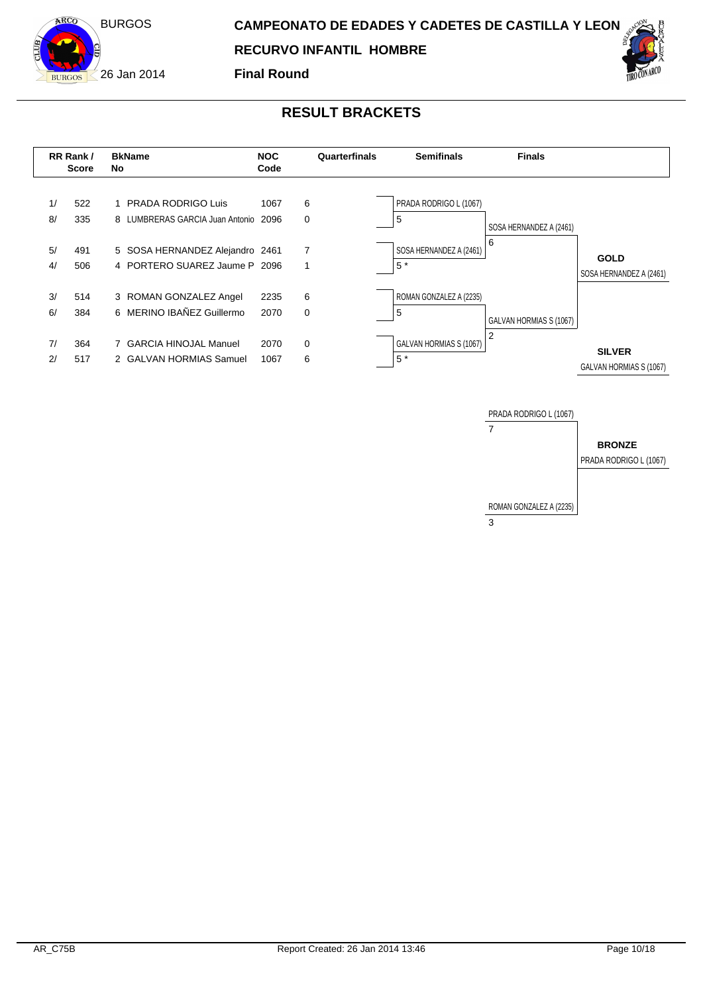

**Final Round**



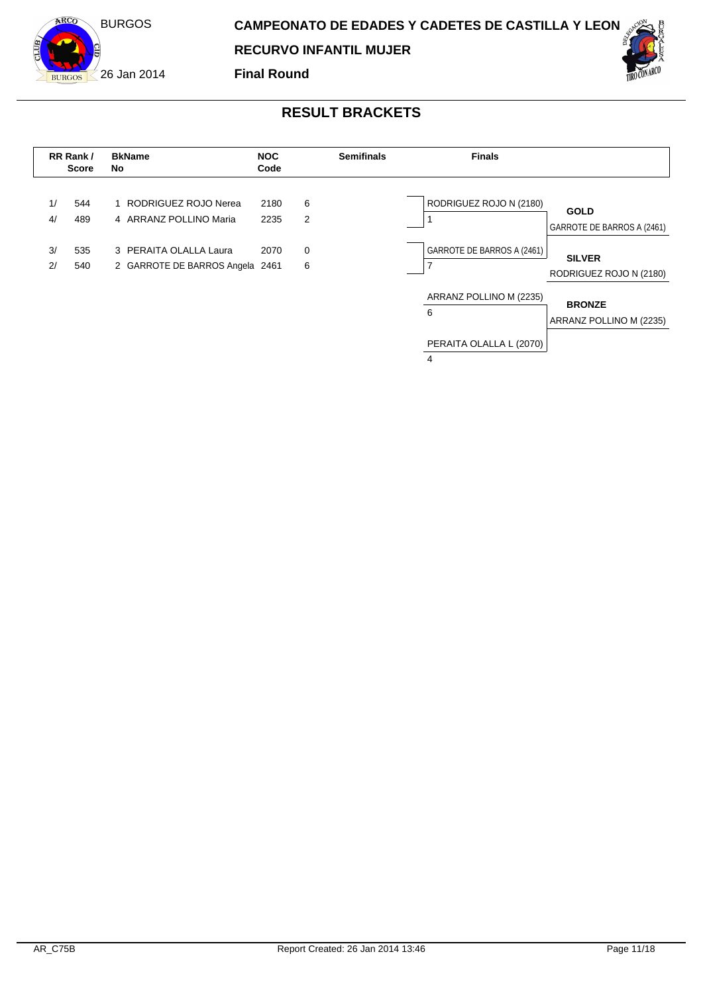

**RECURVO INFANTIL MUJER**

**Final Round**





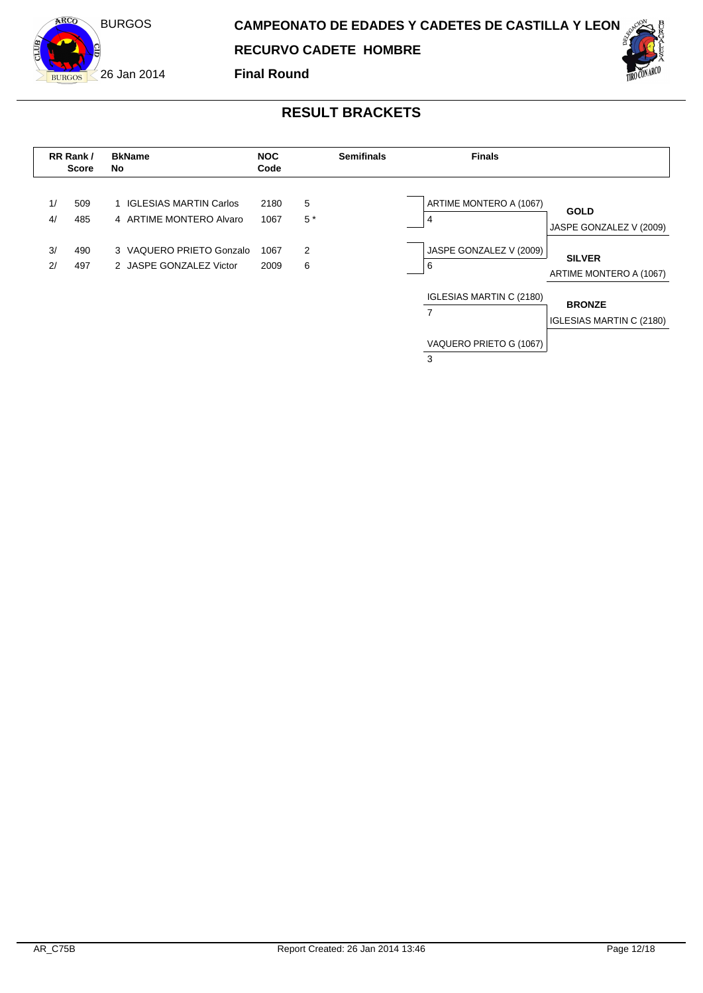

**RECURVO CADETE HOMBRE**

**Final Round**



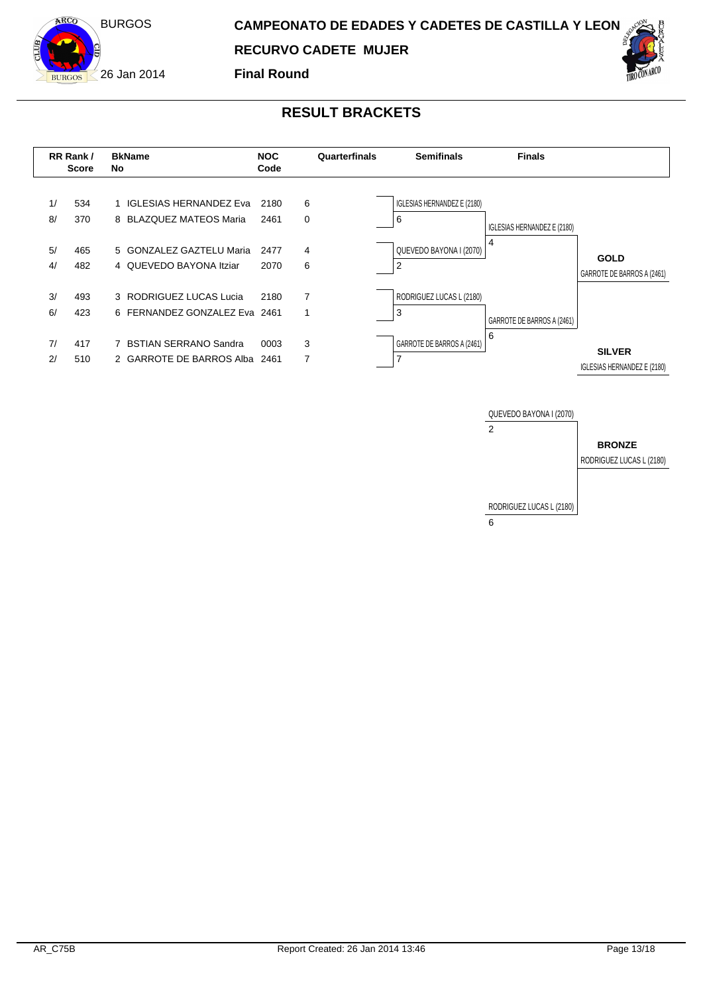

**Final Round**





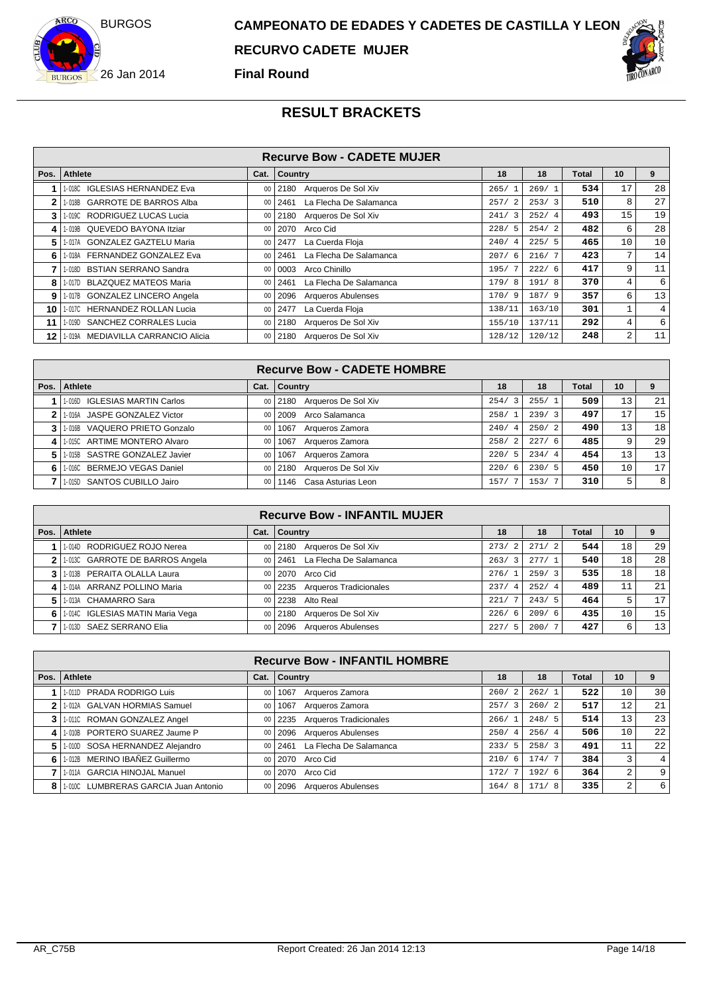



|      |                                    |      | <b>Recurve Bow - CADETE MUJER</b> |        |        |       |                |                |
|------|------------------------------------|------|-----------------------------------|--------|--------|-------|----------------|----------------|
| Pos. | <b>Athlete</b>                     | Cat. | Country                           | 18     | 18     | Total | 10             | 9              |
|      | 1-018C IGLESIAS HERNANDEZ Eva      | 00   | Arqueros De Sol Xiv<br>2180       | 265/1  | 269/1  | 534   | 17             | 28             |
|      | 1-018B GARROTE DE BARROS Alba      | 00   | La Flecha De Salamanca<br>2461    | 257/2  | 253/3  | 510   | 8              | 27             |
| 3    | 1-019C RODRIGUEZ LUCAS Lucia       | 00   | Arqueros De Sol Xiv<br>2180       | 241/3  | 252/4  | 493   | 15             | 19             |
| 4    | 1-019B QUEVEDO BAYONA Itziar       | 00   | Arco Cid<br>2070                  | 228/5  | 254/2  | 482   | 6              | 28             |
| 5.   | 1-017A GONZALEZ GAZTELU Maria      | 00   | La Cuerda Floja<br>2477           | 240/4  | 225/5  | 465   | 10             | 10             |
| 6 I  | 1-018A FERNANDEZ GONZALEZ Eva      | 00   | La Flecha De Salamanca<br>2461    | 207/6  | 216/7  | 423   | 7              | 14             |
|      | 1-018D BSTIAN SERRANO Sandra       | 00   | Arco Chinillo<br>0003             | 195/7  | 222/6  | 417   | 9              | 11             |
| 8    | 1-017D BLAZQUEZ MATEOS Maria       | 00   | La Flecha De Salamanca<br>2461    | 179/8  | 191/8  | 370   | 4              | 6              |
| 9    | 1-017B GONZALEZ LINCERO Angela     | 00   | <b>Arqueros Abulenses</b><br>2096 | 170/9  | 187/9  | 357   | б.             | 13             |
| 10 I | 1-017C HERNANDEZ ROLLAN Lucia      | 00   | La Cuerda Floja<br>2477           | 138/11 | 163/10 | 301   |                | $\overline{4}$ |
| 11   | 1-019D SANCHEZ CORRALES Lucia      | 00   | Arqueros De Sol Xiv<br>2180       | 155/10 | 137/11 | 292   | 4              | 6              |
| 12 I | 1-019A MEDIAVILLA CARRANCIO Alicia | 00   | Arqueros De Sol Xiv<br>2180       | 128/12 | 120/12 | 248   | $\overline{2}$ | 11             |

|      |                               |      | <b>Recurve Bow - CADETE HOMBRE</b> |                                 |       |       |                 |                |
|------|-------------------------------|------|------------------------------------|---------------------------------|-------|-------|-----------------|----------------|
| Pos. | Athlete                       | Cat. | <b>Country</b>                     | 18                              | 18    | Total | 10              |                |
|      | 1-016D IGLESIAS MARTIN Carlos | 00   | Arqueros De Sol Xiv<br>  2180      | 254/<br>$\overline{\mathbf{3}}$ | 255/1 | 509   | 13              | 21             |
|      | 1-016A JASPE GONZALEZ Victor  | 00   | Arco Salamanca<br>2009             | 258/1                           | 239/3 | 497   | 17              | 15             |
|      | 1-016B VAQUERO PRIETO Gonzalo | 00   | Arqueros Zamora<br>1067            | 240/4                           | 250/2 | 490   | 13              | 18             |
|      | 1-015C ARTIME MONTERO Alvaro  | 00   | Arqueros Zamora<br>1067            | 258/2                           | 227/6 | 485   | 9               | 29             |
|      | 1-015B SASTRE GONZALEZ Javier | 00   | Arqueros Zamora<br>1067            | 220/5                           | 234/4 | 454   | 13              | 13             |
| 6    | 1-016C BERMEJO VEGAS Daniel   | 00   | Arqueros De Sol Xiv<br>2180        | 220/<br>- 6                     | 230/5 | 450   | 10 <sub>1</sub> | 17             |
|      | 1-015D SANTOS CUBILLO Jairo   | 00   | Casa Asturias Leon<br>1146         | 157/                            | 153/7 | 310   | 5               | 8 <sup>1</sup> |

|   |                                  |                 | <b>Recurve Bow - INFANTIL MUJER</b>   |                                 |       |       |                 |                 |
|---|----------------------------------|-----------------|---------------------------------------|---------------------------------|-------|-------|-----------------|-----------------|
|   | Pos.   Athlete                   | Cat.            | Country                               | 18                              | 18    | Total | 10 <sup>1</sup> | 9               |
|   | 1-014D RODRIGUEZ ROJO Nerea      |                 | Arqueros De Sol Xiv<br>00 2180        | 273/2                           | 271/2 | 544   | 18              | 29 <sub>1</sub> |
|   | 1-013C GARROTE DE BARROS Angela  |                 | La Flecha De Salamanca<br>0012461     | 263/<br>$\overline{\mathbf{3}}$ | 277/1 | 540   | 18              | 28 <sup>1</sup> |
|   | 1-013B PERAITA OLALLA Laura      | 00 <sup>1</sup> | 2070 Arco Cid                         | 276/                            | 259/3 | 535   | 18              | 18 <sup>1</sup> |
|   | 1-014A ARRANZ POLLINO Maria      | 00              | <b>Arqueros Tradicionales</b><br>2235 | 237/4                           | 252/4 | 489   |                 | 21              |
| 5 | 1-013A CHAMARRO Sara             | 00              | Alto Real<br>2238                     | 221/                            | 243/5 | 464   |                 | 17              |
|   | 1-014C IGLESIAS MATIN Maria Vega | $00\,$          | Arqueros De Sol Xiv<br>l 2180         | 226/6                           | 209/6 | 435   | 10              | 15              |
|   | 1-013D SAEZ SERRANO Elia         | $00\,$          | Arqueros Abulenses<br>  2096          | 227/<br>- 5                     | 200/7 | 427   | 6               | 13              |

|      |                                      |                 | <b>Recurve Bow - INFANTIL HOMBRE</b>  |             |       |       |    |    |
|------|--------------------------------------|-----------------|---------------------------------------|-------------|-------|-------|----|----|
| Pos. | <b>Athlete</b>                       | Cat.            | <b>Country</b>                        | 18          | 18    | Total | 10 |    |
|      | 1-011D PRADA RODRIGO Luis            | 00              | 1067<br>Arqueros Zamora               | 260/<br>-2  | 262/1 | 522   | 10 | 30 |
|      | 1-012A GALVAN HORMIAS Samuel         | 00              | Arqueros Zamora<br>1067               | 257/3       | 260/2 | 517   | 12 | 21 |
|      | 1-011C ROMAN GONZALEZ Angel          | 00              | <b>Arqueros Tradicionales</b><br>2235 | 266/1       | 248/5 | 514   | 13 | 23 |
|      | 1-010B PORTERO SUAREZ Jaume P        | 00              | <b>Arqueros Abulenses</b><br>2096     | 250/<br>-4  | 256/4 | 506   | 10 | 22 |
| 5.   | 1-010D SOSA HERNANDEZ Alejandro      | 00 <sup>1</sup> | La Flecha De Salamanca<br>2461        | 233/5       | 258/3 | 491   | 11 | 22 |
| 6    | 1-012B MERINO IBAÑEZ Guillermo       | 0 <sup>0</sup>  | Arco Cid<br>2070                      | 210/<br>- 6 | 174/7 | 384   | 3  | 4  |
|      | 1-011A GARCIA HINOJAL Manuel         | 00              | 2070<br>Arco Cid                      | 172/        | 192/6 | 364   | 2  | 9  |
| 8    | 1-010C LUMBRERAS GARCIA Juan Antonio | $00\,$          | Arqueros Abulenses<br>2096            | 164/<br>8   | 171/8 | 335   | 2  | 6  |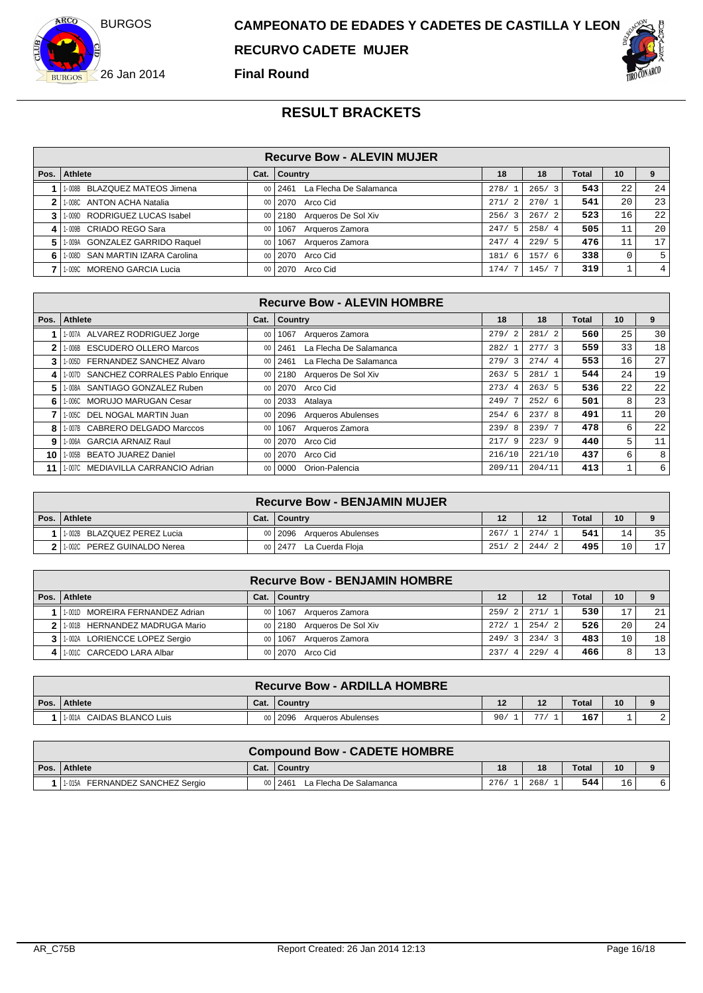



### **Final Round**

|        | <b>Recurve Bow - ALEVIN MUJER</b> |    |                                |                        |       |       |    |                |  |  |
|--------|-----------------------------------|----|--------------------------------|------------------------|-------|-------|----|----------------|--|--|
| Pos. I | Athlete                           |    | Cat.   Country                 | 18                     | 18    | Total | 10 |                |  |  |
|        | 1-008B BLAZQUEZ MATEOS Jimena     | 00 | La Flecha De Salamanca<br>2461 | 278/                   | 265/3 | 543   | 22 | 24             |  |  |
|        | 1-008C ANTON ACHA Natalia         | 00 | 2070 Arco Cid                  | 271/<br>$\overline{2}$ | 270/1 | 541   | 20 | 23             |  |  |
|        | 1-009D RODRIGUEZ LUCAS Isabel     | 00 | Arqueros De Sol Xiv<br>2180    | 256/<br>$\overline{3}$ | 267/2 | 523   | 16 | 22             |  |  |
| 4      | 1-009B CRIADO REGO Sara           | 00 | Arqueros Zamora<br>1067        | 247/<br>5              | 258/4 | 505   | 11 | 20             |  |  |
| 5.     | 1-009A GONZALEZ GARRIDO Raquel    | 00 | 1067<br>Arqueros Zamora        | 247/<br>$\overline{4}$ | 229/5 | 476   | 11 | 171            |  |  |
|        | 1-008D SAN MARTIN IZARA Carolina  | 00 | 2070<br>Arco Cid               | 181/<br>- 6            | 157/6 | 338   |    | 51             |  |  |
|        | 1-009C MORENO GARCIA Lucia        | 00 | 2070<br>Arco Cid               | 174/                   | 145/  | 319   |    | 4 <sup>1</sup> |  |  |

|              | <b>Recurve Bow - ALEVIN HOMBRE</b>      |      |                                |                        |        |       |    |    |  |  |  |
|--------------|-----------------------------------------|------|--------------------------------|------------------------|--------|-------|----|----|--|--|--|
| Pos.         | <b>Athlete</b>                          | Cat. | <b>Country</b>                 | 18                     | 18     | Total | 10 | 9  |  |  |  |
|              | 1-007A ALVAREZ RODRIGUEZ Jorge          | 00   | Arqueros Zamora<br>1067        | 279/<br>2              | 281/2  | 560   | 25 | 30 |  |  |  |
| $\mathbf{2}$ | <b>ESCUDERO OLLERO Marcos</b><br>1-006B | 00   | La Flecha De Salamanca<br>2461 | 282/                   | 277/3  | 559   | 33 | 18 |  |  |  |
| 3            | FERNANDEZ SANCHEZ Alvaro<br>1-005D      | 00   | La Flecha De Salamanca<br>2461 | 279/3                  | 274/4  | 553   | 16 | 27 |  |  |  |
| 4            | 1-007D SANCHEZ CORRALES Pablo Enrique   | 00   | Arqueros De Sol Xiv<br>2180    | 263/5                  | 281/1  | 544   | 24 | 19 |  |  |  |
| 5.           | 1-008A SANTIAGO GONZALEZ Ruben          | 00   | Arco Cid<br>2070               | 273/<br>$\overline{4}$ | 263/5  | 536   | 22 | 22 |  |  |  |
| 6.           | 1-006C MORUJO MARUGAN Cesar             | 00   | 2033<br>Atalaya                | 249/7                  | 252/6  | 501   | 8  | 23 |  |  |  |
|              | DEL NOGAL MARTIN Juan<br>1-005C         | 00   | Arqueros Abulenses<br>2096     | 254/6                  | 237/8  | 491   | 11 | 20 |  |  |  |
| 8            | 1-007B CABRERO DELGADO Marccos          | 00   | Arqueros Zamora<br>1067        | 239/8                  | 239/7  | 478   | 6  | 22 |  |  |  |
| 9            | 1-006A GARCIA ARNAIZ Raul               | 00   | 2070<br>Arco Cid               | 217/9                  | 223/9  | 440   | 5  | 11 |  |  |  |
| 10           | <b>BEATO JUAREZ Daniel</b><br>1-005B    | 00   | Arco Cid<br>2070               | 216/10                 | 221/10 | 437   | 6  | 8  |  |  |  |
| 11           | 1-007C MEDIAVILLA CARRANCIO Adrian      | 00   | Orion-Palencia<br>0000         | 209/11                 | 204/11 | 413   | п. | 6  |  |  |  |

| <b>Recurve Bow - BENJAMIN MUJER</b> |      |                               |      |       |              |                 |    |  |  |
|-------------------------------------|------|-------------------------------|------|-------|--------------|-----------------|----|--|--|
| Pos. Athlete                        | Cat. | <b>Country</b>                |      | 12    | <b>Total</b> | 10              |    |  |  |
| 1-002B BLAZQUEZ PEREZ Lucia         |      | 00 2096<br>Argueros Abulenses | 267/ | 274/  | 541          | 14 <sub>1</sub> | 35 |  |  |
| PEREZ GUINALDO Nerea<br>1-002C      |      | La Cuerda Floia<br>00 2477    | 251/ | 244/2 | 495          | 101             | 17 |  |  |

|      |                                  |        | <b>Recurve Bow - BENJAMIN HOMBRE</b> |                        |                        |              |    |    |
|------|----------------------------------|--------|--------------------------------------|------------------------|------------------------|--------------|----|----|
| Pos. | Athlete                          | Cat.   | ∣ Countrv                            | 12                     | 12                     | <b>Total</b> | 10 |    |
|      | 1-001D MOREIRA FERNANDEZ Adrian  | $00\,$ | Argueros Zamora<br>  1067            | 259/<br>$\overline{2}$ | 271/1                  | 530          | רו | 21 |
|      | 2 1.001B HERNANDEZ MADRUGA Mario |        | Arqueros De Sol Xiv<br>00 2180       | 272/                   | 254/2                  | 526          | 20 | 24 |
|      | 1.002A LORIENCCE LOPEZ Sergio    | 00     | 1067<br>Argueros Zamora              | 249/<br>$\mathbf{z}$   | 234/3                  | 483          | 10 | 18 |
|      | 1-001C CARCEDO LARA Albar        |        | 00 2070 Arco Cid                     | 237/<br>-4             | 229/<br>$\overline{a}$ | 466          |    | 13 |

|      |                              |      | <b>Recurve Bow - ARDILLA HOMBRE</b> |     |    |              |    |        |
|------|------------------------------|------|-------------------------------------|-----|----|--------------|----|--------|
| Pos. | <b>Athlete</b>               | Cat. | <sup>1</sup> Country                | 12  | 12 | <b>Total</b> | 10 |        |
|      | CAIDAS BLANCO Luis<br>1-001A |      | Argueros Abulenses<br>00   2096     | 90, | 77 | 167          |    | $\sim$ |

|                                    |      | <b>Compound Bow - CADETE HOMBRE</b> |      |      |              |    |  |
|------------------------------------|------|-------------------------------------|------|------|--------------|----|--|
| Pos. Athlete                       | Cat. | ∣ Countrv                           | 18   | 18   | <b>Total</b> | 10 |  |
| FERNANDEZ SANCHEZ Sergio<br>1-015A |      | 00   2461<br>La Flecha De Salamanca | 276/ | 268/ | 544          | 16 |  |